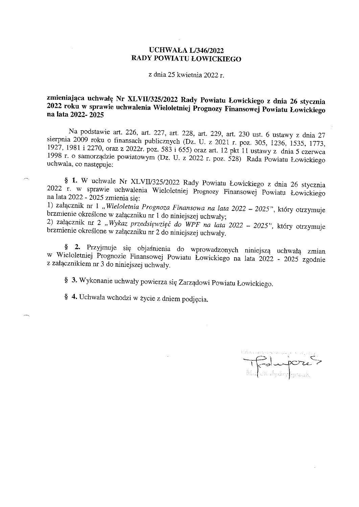#### UCHWAŁA L/346/2022 RADY POWIATU ŁOWICKIEGO

z dnia 25 kwietnia 2022 r.

### zmieniająca uchwałę Nr XLVII/325/2022 Rady Powiatu Łowickiego z dnia 26 stycznia 2022 roku w sprawie uchwalenia Wieloletniej Prognozy Finansowej Powiatu Łowickiego na lata 2022- 2025

Na podstawie art. 226, art. 227, art. 228, art. 229, art. 230 ust. 6 ustawy z dnia 27 sierpnia 2009 roku o finansach publicznych (Dz. U. z 2021 r. póz. 305, 1236, 1535, 1773, 1927, 1981 i 2270, oraz z 2022r. póz. 583 i 655) oraz art. 12 pkt 11 ustawy z dnia 5 czerwca 1998 r. o samorządzie powiatowym (Dz. U. z 2022 r. póz. 528) Rada Powiatu Łowickiego uchwala, co następuje:

§ l. W uchwale Nr XLVIV325/2022 Rady Powiatu Łowickiego z dnia 26 stycznia 2022 r. w sprawie uchwalenia Wieloletniej Prognozy Finansowej Powiatu Łowickiego na lata 2022 - 2025 zmienia się:

1) załącznik nr 1 "Wieloletnia Prognoza Finansowa na lata 2022 - 2025", który otrzymuje brzmienie określone w załączniku nr l do niniejszej uchwały;

2) załącznik nr 2 "Wykaz przedsięwzięć do WPF na lata 2022 - 2025", który otrzymuje brzmienie określone w załączniku nr 2 do niniejszej uchwały.

§ 2. Przyjmuje się objaśnienia do wprowadzonych niniejszą uchwałą zmian w Wieloletniej Prognozie Finansowej Powiatu Łowickiego na lata 2022 - 2025 zgodnie z załącznikiem nr 3 do niniejszej uchwały.

§ 3. Wykonanie uchwały powierza się Zarządowi Powiatu Łowickiego.

§ 4. Uchwała wchodzi w życie z dniem podjęcia.

 $\mathcal{L}^{\mathcal{L}}$ 

 $\rightarrow$ 

 $\mathcal{R}^{\mathcal{R}}(\mathcal{S})$  . The set of  $\mathcal{R}$  is a dynamical polynomial of  $\mathcal{R}^{\mathcal{R}}$  $T^2$ lupoz $\zeta$ Malva-Jędrzegozak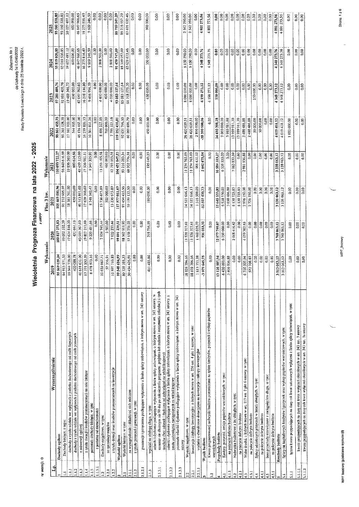załącznik Nr 1<br>do Uchwały Nr L/346/2022<br>Rady Powiatu Łowioklego z chia 25 kwietnia 2022 r.

### nr wersji: 0

# Wieloletnia Prognoza Finansowa na lata 2022 - 2025

|          | i 3 kv.<br>Plan |
|----------|-----------------|
| $\vdots$ |                 |
|          | Wykonanie       |

| ight             |                                                                                                                                                                                                                           | Wykonanie               |                           | Plan 3 kw.                | Wykonanie      |                |                       |               |               |
|------------------|---------------------------------------------------------------------------------------------------------------------------------------------------------------------------------------------------------------------------|-------------------------|---------------------------|---------------------------|----------------|----------------|-----------------------|---------------|---------------|
|                  | Wyszczególnienie                                                                                                                                                                                                          | 2019                    | 2020                      | 202                       | 282            | 2022           | 2023                  | 2024          | 2025          |
| 긦                | Dochody ogółem                                                                                                                                                                                                            | 95 569 039,24           | 100 827 272,83            | 105 469 580,96            | 110 093 722,27 | 98 861 455,75  | 97 281 400,76         | 95 819 020,85 | 93560520,85   |
|                  |                                                                                                                                                                                                                           | 84 913 971,53           | 93 002 532.39             | 91732905.07               | 96840616.69    | 90 365 128.59  | 92 881 400,76         | 93 010 520.85 | 93 560 520,85 |
| $\Xi$<br>₿       | dochody z tysnu udziału we wpływach z podatku dochodowego od osób fizycznych<br>Dochody bieżące. z tego:                                                                                                                  | 18 044 728.00           | 17624810.00               | 18 381 341.00             | 19896560.00    | 17 102 922.00  | 19 488 346.72         | 19677497.12   | 20 227 497,12 |
| Ê                | dochody z tytułu udziała we wpływach z podatku dochodowcąc od osób prawnych                                                                                                                                               | 400 088,78              | 421 661.13                | 450 000,00                | 600 624,66     | 544 905.00     | 600 000,00            | 600 000,00    | 600 000,00    |
| $\overline{11}$  | z subwencji ogólnej                                                                                                                                                                                                       | 40 618 631.00           | 45919367.00               | 46 513 861.00             | 49 459 125.00  | 46176467.00    | 47 047 960,65         | 46 847 960.65 | 46 847 960,65 |
| 1.4              | z tytułu dotacji i środków przeznaczenych na cele bieżące                                                                                                                                                                 | 17 371 550,59           | 19807212,60               | 17 639 360.60             | 17536981.11    | 16239803.33    | 16278 136,80          | 16275816,49   | 16275816,49   |
| $\frac{15}{2}$   | pozostałe dochody bieżące. w tyn:                                                                                                                                                                                         | 8478973.16              | 9 229 481,66              | 8748342.47                | 9347325.92     | 10301031,26    | 9466956,59            | 9 609 246.59  | 9609246.59    |
| 1.1.5.1          | z podatku od nieruchomości                                                                                                                                                                                                | 0.00                    | 0.00                      |                           | 0.00           | $\frac{8}{2}$  | 8co                   | 0.00          | 0,00          |
| $\tilde{C}$      | Dochody majątkowe. w tym:                                                                                                                                                                                                 | 10 655 067,71           | 282474044                 | 13736 675,89              | 13 253 105,58  | 8 496 327,16   | 4400 000.00           | 2 808 500,00  | 0.00          |
| $\overline{121}$ | ze sprzedaży majątku                                                                                                                                                                                                      | 57356,91                | 2507.00                   | 500 000,00                | 460 000.00     | 700 000,00     | 400 000,00            | 8.00          | 0.00          |
| 122              | z tytołu dotacji oraz środków przeznaczonych na inwestycje                                                                                                                                                                | 10597710,80             | 7822 233.44               | 13 236 675.89             | 12 793 105.58  | 7796327,16     | 4 000 000,00          | 2808500.00    | 0.00          |
|                  | Wydatki ogółem                                                                                                                                                                                                            | 99 548 684,99           | 99 891 239,51             | 117 977 051,69            | 104 451 047,23 | 119 252 435,81 | 93 083 127,64         | 91 470 747,09 | 88 759 247,29 |
| $\overline{1}$   | Wydarki bieżące, w tym:                                                                                                                                                                                                   | 80 720 388.33           | 88 362 911,90             | 93 454 435,56             | 93 216 283,34  | 92831796.30    | 85 083 127.64         | 85319957,09   | 86 216 957,29 |
| $\frac{1}{2}$    | na wynagrodzenia i słładki od nich naliczane                                                                                                                                                                              | 50 454 426.91           | 57 158 251.02             | 59 199 133,50             | 60 902 776.31  | 60 069 698,79  | 61768575.20           | 63 621 632,46 | 63 621 632.46 |
| 212              | z tytułu poręczeń i gwaraneji. w tym:                                                                                                                                                                                     | $\frac{3}{2}$           | ຣີ                        | 8,00                      | 0.00           | 0.00           | 0.03                  | 0.00          | 0.00          |
| 2, 1.2.1         | gwarancje i poręczenia podlegające wyłączeniu z limitu splaty zobowiązań, o którym mowa w art. 243 ustawy                                                                                                                 | 0.00                    | 0.00                      | 0.00                      | 600            | 0.00           | 0.00                  | $\frac{8}{2}$ | 0.00          |
| 2.1.3            | wydatki na obsługę długu, w tym:                                                                                                                                                                                          | 485.06<br>$\frac{1}{4}$ | 295716,05                 | 180 000,00                | 195 043,23     | 450 000.00     | 000.00<br>50          | 350 000.00    | 300 000,00    |
| 2.1.3.1          | terminie nie dłuższym niż 90 dni po zakończeniu programu. projektu lub zadania i otrzymaniu refundacji z tych<br>odserki i dyskonto podlegające wyłączeniu z limitu spłaty zobowiązań, o którym mowa w art. 243 ustawy, w | 0.00                    | 0.00                      | 8                         | 0.00           | 0.00           | 0.00                  | O.CO          | 0.00          |
| 2.1.3.2          | odsetki i dyskonto podlegające wyłączeniu z limitu spłaty zobowiązań, o którym mowa w art. 243 ustawy, z<br>środków (bez odsetek i dyskonta od zobowiązań na wkład krajowy)                                               | 8                       | $0.00$                    | 0.00                      | 0.00           | 0.00           | 0.00                  | 0.00          | 0.00          |
| 2.1.3.3          | pozostałe odsetki i dyskonto podlegające wyłączeniu z limitu spłaty zobowiązań. o którym mowa w art. 243<br>tytułu zobowiązań zaciągniętych na wkład krajowy                                                              | 0.00                    | 0.00                      | 8,00                      | 0.00           | 8.00           | 0.00                  | 0,00          | 0.00          |
|                  | ustawy                                                                                                                                                                                                                    |                         | 11 528 327.61             | 24 522 616,13             | 11 234 763,89  | 26420639,51    | 8 000 000,00          | 6150790.00    | 2 542 290,00  |
| 2.2              | Wydatki majątkowe, w tym:                                                                                                                                                                                                 | 18 828 296.66           |                           | 24 522 616,13             | 11 234 763.89  | 26 420 639.51  | 800000000             | 6150790.00    | 2542290.00    |
| 2.2.1            | Investycje i zakupy inwestycyjne, o których mowa w art. 236 ust. 4 pkt 1 ustawy, w tym:                                                                                                                                   | 18 828 296.66           | 1468605.77<br>11528327.61 | 1516500.00                | 966 631.02     | 2896000.00     | 0.00                  | Ş             | 0.00          |
| 2.2.1.1          | wydatki o charakterze dotacyjnym na investycje i zakupy inwestycyjne                                                                                                                                                      | 1813753,98              | 936 033,32                | $-12507470.73$            | 5 642 675,04   | -20 390 980,06 | 4198273,12            | 4 348 273,76  | 4801273,56    |
|                  | Wynik budżetu                                                                                                                                                                                                             | -3 979 645,75           |                           |                           |                |                |                       |               |               |
| $\frac{1}{2}$    | Kwota prognozowanej nadwyżki budżetu przeznaczana na spłatę kredytów. pożyczek i wykup papierów<br>wartosciowyci                                                                                                          | 0.00                    | 0,00                      | 0.00                      | 0.00           | $\frac{6}{3}$  | 4198273.12            | 4348273.76    | 4801273,56    |
| 4                | Przychody budżetu                                                                                                                                                                                                         | 13 120 507,94           | 12877799,07               | 15 645 533,85             | 16584319,27    | 24410398,18    | 150 000.00            | Ş             | 0,00          |
| $\frac{1}{4}$    | Kredyty, pożyczki, entisja papierów wartościowych, w tym:                                                                                                                                                                 | 6420000.00              | 6750000.00                | 6538550.00                | 6 538 550.00   | 700000000      | 0.00                  | 0.00          | 0.00          |
| 4.1.1            | na pokrycie deficytu budżetu                                                                                                                                                                                              | 3 406 936,88            | 8                         | 365048688                 | 0.00           | 3980581.88     | $\frac{8}{6}$         | 0.00          | 0.00          |
| $\frac{1}{4}$    | Nadwyzka hudzetowa z lat ubiegłych, w tym:                                                                                                                                                                                | 0.00                    | 2068416.42                | 6130733.85                | 7063832.39     | 13959911.30    | 0.00                  | 0.00<br>0.00  | 0.00<br>0.00  |
| $\frac{11}{4}$   | na pokrycie deficytu budżetu                                                                                                                                                                                              | 0.00                    | 3.00                      | 6130733.85                | $0.00$         | 13959911,30    | $\frac{8}{6}$<br>0.00 | 600           | 0.00          |
| $\mathbf{L}$     | Wohe środki, o których mowa w att. 217 ust. 2 pkt 6 ustawy, w tym:                                                                                                                                                        | 6700 507,94             | 4 059 382.65              | 2976250.00                | 936.88<br>2981 | 3 400 486,88   | 0.00                  | 0.00          | 0.00          |
| $\frac{1}{2}$    | na pokrycie deficytu budżetu                                                                                                                                                                                              | 572 708.87              | 600                       | 2726250.00                | $\frac{8}{2}$  | 2 400 486,88   |                       | 0.00          | 0.00          |
| $\frac{4}{3}$    | Splary udziełonych pożyczek w latach ubiegłych, w tym:                                                                                                                                                                    | 0.00                    | 600                       | 0.00                      | 0.00           | 50.000.00      | 000.00<br>50          |               |               |
| न्दू<br>च        | na pokrycie deficytu budżetu                                                                                                                                                                                              | $\overline{0}$          | $\frac{3}{2}$             | 0.00                      | 0.00           | 50 000.00      | 0.00                  | 0.00          | $rac{8}{300}$ |
| 4.5              | Ime przychody niezwiązane z zaciągnięciem długu. w tym                                                                                                                                                                    | 0,00                    | $\frac{1}{0.00}$          | $0.00$                    | $0.00$         | 0.00           | 0.00                  | 0.00          |               |
| $\frac{1}{4}$    | na pokrycie deficytu budžetu                                                                                                                                                                                              | 0.00                    | 0.00                      | 0.00                      | $0.00$         | 0.00           | 0.00                  | es<br>C       | 0.00          |
| ١n,              | Razchody budżetu                                                                                                                                                                                                          | 3013063,12              | 3768063,12                | 3138063,12                | 3338 063,12    | 4 019 418,12   | 4348 273 12           | 4348 273.76   | 4801273,56    |
| 3                | Splaty rat kapitaľowych kredytów i pożyczek oraz wykup papierów wartościowych. w tym:                                                                                                                                     | 3013063,12              | 3768 063,12               | 063.12<br>$\frac{138}{ }$ | 3 138 063.12   | 4019418.12     | 4348273.12            | 4 348 273,76  | 4801273.56    |
| 5.1              | heczna kwota przypadających na dany rok kwot ustawowych wyłączen z limitu splaty zobowiązań. w tym:                                                                                                                       | 0.00                    | 3 <sub>0.0</sub>          | 0.00                      | 0.00           | 100000001      | 0.00                  | 8             | 0.00          |
| $\frac{11}{2}$   | kwota przypadających na dany rok kwot wyłączeń określonych w art. 243 ust. 3 ustawy                                                                                                                                       | $\frac{8}{2}$           | 0.00                      | 83                        | 0.00           | 0.00           | 0.00                  | 0.00          | 0,00          |
| 5.1.1.2          | kwota przypałejących na dany rok kwot wyłączeń określonych w art. 243 ust. 3a ustawy                                                                                                                                      | 0.00                    | 0.00                      | 0,00                      | 6.00           | 0.00           | $\frac{0.00}{2}$      | 0.00          | 0,00          |
|                  |                                                                                                                                                                                                                           |                         |                           |                           |                |                |                       |               |               |

WPF bazowy (podstawa symulacji)

WPF\_bazowy

 $\ddot{\phantom{0}}$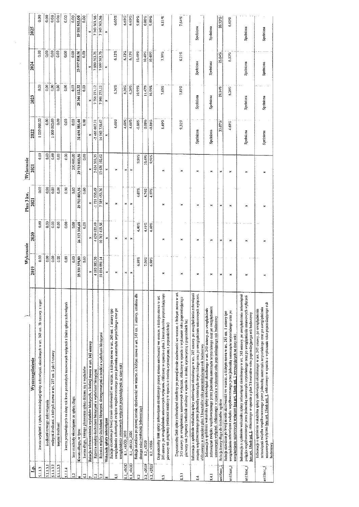|                          |                                                                                                                                                                                                                                                                                                                                        | Wykonanie       |                | Plan 3 kw.                                                                   | Wykonanie     |                 |               |               |               |
|--------------------------|----------------------------------------------------------------------------------------------------------------------------------------------------------------------------------------------------------------------------------------------------------------------------------------------------------------------------------------|-----------------|----------------|------------------------------------------------------------------------------|---------------|-----------------|---------------|---------------|---------------|
| 립                        | Wyszczególnienie                                                                                                                                                                                                                                                                                                                       | 2019            | 2020           | $\overline{2021}$                                                            | 2021          | 2022            | 2003          | 2024          | 2025          |
| 5.1.1.3                  | kwota wyłączeń z tytułu wcześniejszej spłaty zobowiązań, okreśłonych w art. 243 ust. 3b ustawy, z tego:                                                                                                                                                                                                                                | 0.00            | 0.00           | 8,00                                                                         | 0,00          | 1000000,00      | 0.00          | 0.00          | 0.00          |
| 51.13.1                  | srodkami nowego zobowiązania                                                                                                                                                                                                                                                                                                           | ຮູ              | 0.00           | 0.00                                                                         | 0.00          | 0.00            | 0.00          | 0.00          | 0.00          |
| 5113.2                   | wolnyrai środkami, o których mowa w art. 217 ust. 2 pkt 6 ustawy                                                                                                                                                                                                                                                                       | 0.00            | 0.00           | $0.00\,$                                                                     | 0.00          | 1000000.00      | 0.00          | $rac{8}{100}$ | 0.00          |
| 51133                    | innymi środkami                                                                                                                                                                                                                                                                                                                        | 0.00            | 0.00           | 0,00                                                                         | 0.00          | 0.00            | 0.00          |               | 0.00          |
| 5.1.1.4                  | kwota przypadających na dany rok kwot pozostałych ustawowych wyłączeń z linitu spłaty zobowiązań                                                                                                                                                                                                                                       | 0,00            | 0.00           | $0.00\,$                                                                     | 0.00          | 0.00            | 0.00          | 0.00          | 0.00          |
| 15.2                     | Ime rozchody nezwiązane ze spłatą długu                                                                                                                                                                                                                                                                                                | 0.00            | 0.00           | 0.00                                                                         | 200 000.00    | 0.00            | 0.00          | 0.00          | 0.00          |
| ۰                        | Kwota długu, w tym:                                                                                                                                                                                                                                                                                                                    | 379,80<br>23331 | 26313316,68    | 29713803,56                                                                  | 29 713 803,56 | 32 694 385,44   | 28 346 112,32 | 23 997 838,56 | 19 196 565,00 |
| $\overline{5}$           | kwota dhigu, którego planowana splata dokona się z wydaików                                                                                                                                                                                                                                                                            | 8.00            | 0.00           | 0.00                                                                         | 83            | 0.00            | 0.00          | 0.00          | 0.00          |
| ٣                        | Relacja zrównoważenia wydatków hieżących, o której mowa w art. 242 ustawy                                                                                                                                                                                                                                                              | ×               | $\approx$      | ×                                                                            |               | ×               |               | ×             |               |
| $\ddot{z}$               | Różnica między dochodami bieżącymi a wydatkami bieżącymi                                                                                                                                                                                                                                                                               | 4 193 583,20    | 4 639 620.49   | -1721 \$30.49                                                                | 3624333.35    | $-2,466,667.71$ | 7798273.12    | 7690563.76    | 7343563.56    |
| 7.2                      | Różnica między dochodami bieżącymi, skorygowanymi o środki a wydatkami bieżącymi                                                                                                                                                                                                                                                       | 10894091.14     | 10767419.56    | 7 385 453,36                                                                 | 13670 102.62  | 14 943 730,47   | 7948273.12    | 7690563.76    | 7343563,56    |
|                          | Wskaźnik spłaty zobowiązań                                                                                                                                                                                                                                                                                                             | ×               | ×              | ×                                                                            | ×             | ×               | ×             | ×             | ×             |
| z                        | od zeslo ošadnienia zopowiązań związku współtworzonego przez jednostkę samorządu terytorialnego oraz po<br>Relacja określona po lewej stronie nierówności we wzorze, o którym mowa w art. 243 ust. 1 ustawy (po<br>uwzględnieniu ustawowych wyłączen przypadających na dany rok)                                                       | ×               | ×              | ×                                                                            | $\mathbf{R}$  | 4,68%           | $6.26\%$      | 6.12%         | 6,60%         |
| 8.1_vROD                 | 8.1_vROD_2020                                                                                                                                                                                                                                                                                                                          | ×ļ              | $\mathcal{R}$  | $\mathcal{A}% _{0}\left( t_{0}\right) \in\mathcal{A}_{0}\left( t_{0}\right)$ | ×l            | 4,68%           | 6.26%         | 6.12%         | 6.60%         |
| 8.1_vROD                 | 8.1_vROD_2026                                                                                                                                                                                                                                                                                                                          | $\pmb{\times}$  | ×              | ×                                                                            | $\approx$     | 4,68%           | $6.26\%$      | $6.12\%$      | 6.60%         |
| 8.2                      | Relacja określona po prawej stronie nierówności we wzorze, o którym mowa w art. 243 ust. 1 ustawy, ustałona dia<br>danego roku (wskaźnik jednoroczny)                                                                                                                                                                                  | 6,98%           | 4,40%          | 4,07%                                                                        | 3,91%         | $-0.86%$        | 10.95%        | 10,48%        | 9,89%         |
| 8.2_v2020                | 8.2_v2020                                                                                                                                                                                                                                                                                                                              | 7,06%           | 4.41%          | 4.74%                                                                        | 10,49%        | 0.08%           | 1147%         | 10,48%        | 0.00%         |
|                          |                                                                                                                                                                                                                                                                                                                                        | 6,98%           | 4.40%          | 4.07%                                                                        | 9,91%         | $-0.86%$        | 10.95%        | 10.48%        | 9.89%         |
| 8.2 v2026                | 8.2 v2026                                                                                                                                                                                                                                                                                                                              |                 |                |                                                                              |               |                 |               |               |               |
| $\frac{3}{2}$            | 243 ustawy. po uwzględnieniu ustawowych wyłączeń, obliczony w oparciu o plan 3 kwartalu roku poprzedzającego<br>Dopuszczalny linii spłaty zobowiązań określony po prawej stronie nierówności we wzorze. o którym mowa w art.<br>pierwszy rok prognozy (wskaźnik ustałony w oparciu o średnią arytmetyczną z poprzednich lat)           | ×               | ×              | ×                                                                            | ×             | 8.49%           | $7.05\%$      | 7,39%         | 6.81%         |
| $\frac{1}{3}$            | Dopuszczalny limit splaty zobowiązań określony po prawej stronie nierówności we wzorze, o którym mowa w art.<br>243 ustawy, po uwzględnieniu ustawowych wyłączeń, obliczony w oparciu o wykonanie roku poprzedzającego<br>pierwszy rok prognozy (wskaźnik ustałony w oparciu o średnią arytmetyczną z poprzednich lat)                 | ×               | ×              | ×                                                                            | ×             | 9.31%           | 787%          | 8.21%         | 7,64%         |
| $\ddot{\text{a}}$        | Informacja o spełnieniu wskaźnika splaty zobowiązań określonego w art. 243 ustawy. po uwzględnieniu zobowiązań<br>związku współtworzonego przez jednoskę samorządu terytorialnego oraz po uwzgiędnieniu ustawowych wyłączeń.<br>obliczonego w oparciu o płan 3 kwartałów roku poprzedzającego rok budżetowy                            | ×               | $\mathbb{R}^d$ | ×                                                                            | ×             | Spetriona       | Spelniona     | Spelniona     | Spelniona     |
| 341                      | zobowiązań związku współtworzonego przez jednostkę samorządu terytorialnego oraz po uwzględnieniu<br>Informacja o spełnieniu wskażnika spłaty zobowiązań określonego w art. 243 ustawy, po uwzględnieniu<br>ustawowych wyłączeń. obliczonego w oparciu o wykonanie roku poprzedzającego rok budżetowy                                  | ×               | ×              | ×                                                                            | ×             | Spelniona       | Spelniona     | Spelniona     | Spelniona     |
| art1520C_2               | Relacia kwoty długu do dochodów ogólem                                                                                                                                                                                                                                                                                                 | ×               | ×              | ×                                                                            | ×             | 33,07%          | 29.14%        | $25.04\%$     | 20,52%        |
| art15zoc_}               | uwzględnieniu zobowiązań związku współtworzonego przez jednostkę samorządu terytorialnego oraz po<br>Relacja określora po lewej stronie nierówności we wzorze, o którym mowa w art. 243 usi. 1 ustawy (po<br>uwzględnieniu ustawowych wyłączeń bez art. 15zob ust. 1 przypadających na dany rok)                                       | ×               | ×              | ×                                                                            | ×             | 4.68%           | 6,26%         | $6.12\%$      | 6.60%         |
| aril 320 <sub>c_</sub> k | Informacja o spelnieniu wskaźnika spłaty zobowiązań określonego w art. 243 ustawy, po uwzględnieniu zobowiązań<br>związku współtworzonego przez jednostkę samorządu terytorialnego oraz po uwzględnieniu ustawowych wyłączeń<br>bez art. 1520b ust. 1. obliczonego w oparciu o pian 3 kwartałów roku poprzedzającego rok budżetowy     | ×               | ×              | ×                                                                            | ×             | Spelniona       | Spelniona     | Speiniona     | Spelniona     |
| an1520c_f                | ustawowych wyłączeń <u>bez art. 1320b ust. J</u> . obliczonego w oparciu o wykonanie roku poprzedzającego rok<br>budzetowy<br>zobowiązań związku współtworzonego przez jednostkę samorządu terytorialnego oraz po uwzględnieniu<br>Informacja o spełnieniu wskaźnika spłaty zobowiązań określonego w art. 243 ustawy. po uwzględnieniu | ×               | ×              |                                                                              | ×             | Spelniona       | Spehiona      | Spelniona     | Spelniona     |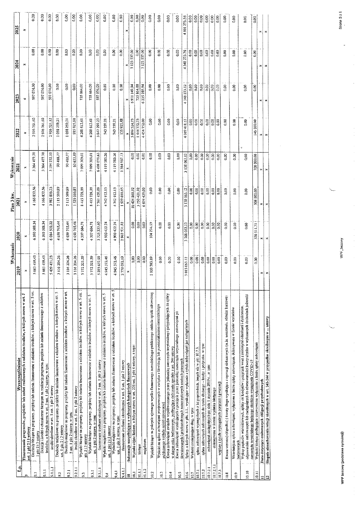|                |                                                                                                                                                                                                                                                                                    | Wykonanie       |                            | Plan 3 kw.           | Wykonanie                    |                   |                   |                   |                                 |
|----------------|------------------------------------------------------------------------------------------------------------------------------------------------------------------------------------------------------------------------------------------------------------------------------------|-----------------|----------------------------|----------------------|------------------------------|-------------------|-------------------|-------------------|---------------------------------|
| ئ              | Wyszczególnienie                                                                                                                                                                                                                                                                   | 2019            | 2020                       | 2021                 | 2021                         | 2022              | 2023              | 2024              | 2025                            |
| o٠             | Finansowanie programów, projektów hib zadań realizowanych z udziałem środków, o których mowa w art. 5<br>ust. 1 pkt 2 i 3 ustawy                                                                                                                                                   |                 | $\mathbb{R}$               | ×                    | $\approx$                    | ×                 | ×                 | ×                 | ×                               |
| 5              | Dochody bieżące na programy, projekty lub zadania finansowane z udziałem środków, o których mowa w art. 5 ust.<br>1 pkt 2 i 3 ostawy                                                                                                                                               | 5 663 459,43    | 6390388.34                 | 4 166 832,56         | 3 364 477.70                 | 2976761.60        | 597 074.00        | 0.00              | 0.00                            |
| $\frac{1}{2}$  | Dotacje i środki o charakterze bieżącym na realizację programu, projektu lub zadania finansowanego z udziałem<br>środków, o których mowa w art. 5 ust. 1 pkt 2 ustawy, w tym:                                                                                                      | 5 663 459.43    | 6390388,34                 | 4166832.56           | 3 364 477.70                 | 2976761.60        | 597074.00         | 0.00              | 0.00                            |
| [9.1.1]        | środki określone w art. 5 ust. 1 pkt 2 ustawy                                                                                                                                                                                                                                      | 5 429 421,23    | 6 084 502,22               | 3982806,23           | 3 194 232.10                 | 2926521.12        | 597074.00         | 0.00              | 0.00                            |
| $\overline{9}$ | Dochody majątkowe na programy, projekty lub zadania finansowane z udziałem środków. o których mowa w art. 5<br>ust. 1 pkt 2 i 3 ustawy                                                                                                                                             | 3 116 204,26    | 4 650 765.44               | 2 115 599 89         | 90488.77                     | 1058239.21        | 0.00              | 0,00              | 0.00                            |
| 9.2.1          | Dochody majątkowe na programy, projekty lab zadania finansowane z udziałem środków, o których mowa w art.<br>5 ust. 1 pkt 2 ustawy. w tyn:                                                                                                                                         | 3 116 204.26    | 4 650 765.44               | 2 115 599.89         | 90488,77                     | 1058259,21        | 0,00              | 0.00              | 0,00                            |
| 92.1           | środki określone w art. 5 ust. 1 pkt 2 ustawy                                                                                                                                                                                                                                      | 3 116 204.26    | 4 650 765 44               | 52901085             | 60 651.89                    | 935 925,88        | 0.00              | 0.00              | 0.00                            |
| $\mathbb{C}$   | Wydatki bieżące na programy, projekty lub zadania linausowane z udziałem środków, o których mowa w art. 5 ust.<br>pkt 213 ustawy                                                                                                                                                   | 5 772 521.59    | 4307604,71                 | 415 728.09           | 099 309,01<br>$\overline{ }$ | 4208613,61        | 735 864.00        | 0.00              | 0.00                            |
| ្ត             | Wydatki bieżące na programy, projekty lub zadana finansowane z udziałem srodków, o których nuowa w art. 5<br>ust. 1 pkt 2 ustawy, w tym                                                                                                                                            | 5 772 521,59    | 4 307 604,71               | 8415728.09           | 7 099 309.01                 | 4208613.61        | 735 864.00        | 0.00              | 0.00                            |
| 9.3.1          | faansowane srodkami określonymi w art. 5 ust. 1 pkt 2 ustawy                                                                                                                                                                                                                       | 5 285 637,99    | 3 725 337,60               | 7761420,89           | 6498079.63                   | 3847299,23        | 597074.00         | 0.00              | 0.00                            |
| Ž              | Wydatki majątkowe na programy, projekty lub zadania tinansowane z udziałem środków, o których mowa w art. 5<br>ust. I pkt 213 ustawy                                                                                                                                               | 4 945 372.46    | 4 900 422.74               | 4742912.13           | 4119585,26                   | 743 259,21        | 0,00              | 0,0               | 0.00                            |
| 541            | Wydatki majątkowe na programy, projekty lub zadania finansowane z udziałem środków, o których mowa w art. 5<br>ust. 1 pkt 2 ustawy, w tym:                                                                                                                                         | 4 945 372.46    | 4 900 422,74               | 4742912.13           | 4119585.26                   | 743 259.2         | 0.00              | 0.00              | 0.00                            |
| 1140           | finansowane środkami określonymi w art. 5 ust. 1 pkt 2 ustawy                                                                                                                                                                                                                      | 2770092.19      | 2962531.82                 | 1529010.85           | 1 384 967.13                 | 135 925.88        | 0.00              | 0.00              | 0.00                            |
| Ξ              | Informacje uznpehulające o wybranych kategoriach finansowych                                                                                                                                                                                                                       | ×               |                            |                      |                              | ×                 | ×                 | ×                 | ×                               |
| $\frac{1}{2}$  | Wydatki objęte limitem. o którym mowa w art. 226 ust. 3 pkt 4 ustawy. z tego:                                                                                                                                                                                                      | 90,0            | 0.00                       | 10424860.92          | 0.00                         | 5 899 524.73      | 6971149.94        | 3 123 537.00      | 0.00                            |
| 10.1.1         | bležace                                                                                                                                                                                                                                                                            | 0.00            | 0.00                       | 3750421,92           | 0.00                         | 444 772,73        | 735 864.00        | 0.00              | $\overline{6}$                  |
| 10.1.2         | majatkowe                                                                                                                                                                                                                                                                          | 0.00            | 0.00                       | 6674439.00           | 0.00                         | 4454752.00        | 6235285,94        | 3 123 537.00      | 0.00                            |
| 10.2           | Wydatki bieżące na pokrycie ujemnego wyniku finansowego samodzielnego publicznego zakładu opieki zdrowotnej                                                                                                                                                                        | 803 703.89      | 104274.19                  | 0.00                 | 0.00                         | 0.00              | 0.00              | 0.00              | 0.00                            |
| $\Xi$          | Wydatki na spłatę zobowiązań przejmowanych w związku z likwidacją lub przekształceniem samodzielnego<br>publicznego zakładu opieki zdrowotnej                                                                                                                                      | 0.00            | 0.00                       | 0.00                 | 0.00                         | 0.00              | 0.00              | 0.00              | 0.00                            |
| 10.4           | Kwota zobowiązań związku współtworzonego przez jednostkę samorządu terytorialnego przypadających do spłaty<br>w danym roku hudżetowym, podlegająca doliczeniu zgodnie z ari. 244 ustawy                                                                                            | 0.00            | $\frac{8}{2}$              | 0.00                 | 0.00                         | $\frac{8}{3}$     | 0.00              | 0.00              | 0.00                            |
| 10.5           | Kwota zobowiązań wynikających z przejęcia przez jednostke samorządu terytotialnego zobowiązan po<br>ikwidowanych i przekształcanych samorządowych osobach prawnych                                                                                                                 | 0.00            | 0.00                       | 0.00                 | 0.00                         | 0.00              | 0.00              | 0.00              | 0.00                            |
| 10.6           | Spłaty, o których mowa w pkt. 5.1., wynikające wyłącznie z tytum zobowiązań jaż zaciągniętych                                                                                                                                                                                      | 3013063,12      | 768 063,12<br>$\mathbf{c}$ | 3138063.12           | 063.12<br>3138               | 4019418.12        | 4348 273.12       | 4348273.76        | 273.56<br>4801                  |
| 10.7           | Wydatki zmniejszające dług, w tym:                                                                                                                                                                                                                                                 | 0.00            | 6.00                       | 0.00                 | 0.00                         | 0.00              | 0.00              | 0.00              | $\frac{1}{2}$                   |
| 10.7.1         | splata zobowiązań wymaganych z lat poprzednich, innych niż w pkt 10.7.3.                                                                                                                                                                                                           | 0.00            | 0.00                       | 0.00                 | 0.00                         | 0.00              | 0.00              | $\frac{8}{5}$     |                                 |
| 10.7.2         | splata zobowiązań zaleczanych do tytułu dłużnego -- kredyt i pożyczka. w tym:                                                                                                                                                                                                      | $ \tilde{s} $ s | 8                          | 0.00                 | 0.00                         | 0.00              | 0.00              |                   |                                 |
| 10.7.2.1       | zohowiązań zaciągniętych po dniu 1 stycznia 2019 r. w tym:                                                                                                                                                                                                                         |                 | 0.00                       | $\frac{8}{9}$        | 0.00                         | $\overline{0.00}$ | $\overline{0.00}$ | 0.00              | 0.00                            |
| 10.7.2.1.1     | dokonywana w formie wydatku bieżącego                                                                                                                                                                                                                                              | 0.00            | 0.00                       | $ \mathbf{\hat{s}} $ | $\frac{8}{5}$                | $\overline{0.00}$ | $\frac{8}{9}$     | 8.00              | $\overline{\phantom{0}}_{0.00}$ |
| 10.7.3         | wypłaty z tytułu wymagalnych poręczeń i gwarancji                                                                                                                                                                                                                                  | 0.00            | 0.00                       | 0.00                 |                              | 0.00              | 0.00              | $\overline{0.00}$ | $ \frac{6}{3} $                 |
| 10.8           | Kwota wzrostu(+)/spadku(-) kwoty dłogu wynikająca z operacji niekasowych (m.in. umorzenia. różnice kursowe)                                                                                                                                                                        | 0.00            | 0.00                       | 0.00                 | 0.00                         | 0.00              | 0.00              | 6.00              | 0.00                            |
| 10.9           | Wcześniejsza spłata zobowiązań, wyłączona z limitu spłaty zobowiązań, dokonywana w formie wydatków<br>budzetowych                                                                                                                                                                  | 0.00            | 0.00                       | 0.00                 | 0.00                         | 0.00              | 0.00              | 0.00              | 0.00                            |
| 10.10          | odpowiednio emitowanych tab zaciągalętych do równowartości kwoty ubytku w wykonanych dochodach jednostki<br>Wykup papierów wartościowych, splaty rat kredytów i pożyczek wraz z należnymi odsetkami i dyskontem<br>samorządu terytorialnego będącego skutkiem wystąpienia COVID-19 | 0.00            | 0.00                       | 0.00                 | 8                            | 0.00              | 0.00              | 0.00              | 0.00                            |
| $\frac{11}{2}$ | Wydatki bieżące podlegające ustawowemu wyłączeniu z limitu splaty zobowiązań                                                                                                                                                                                                       | 600             | 370 \$11.71                | 308 000.00           | 308 000.00                   | 146 000,00        | 0.00              | 8,00              | 0.00                            |
| Ξ              | Dane dotyczące emitowanych obligacji przychodowych                                                                                                                                                                                                                                 | ×I              |                            | ×I                   | ×                            |                   |                   | ×l                | ×                               |
| $\overline{a}$ | Stopnie niezachowania relacji określonych w art. 242-244 w przypadku określonym w  ustawy                                                                                                                                                                                          |                 | ×∣×                        |                      | M.                           |                   |                   | ×                 | ×                               |

WPF bazowy (podstawa symulacji)

 $\mathcal{L}_{\mathcal{A}}$  is the contribution of the contribution of the contribution of  $\mathcal{A}$ 

WPF bazowy

 $\frac{1}{2}$ 

 $\frac{1}{2}$ 

Strona 3 z 6

J

 $\frac{1}{2}$ 

医生产 医单位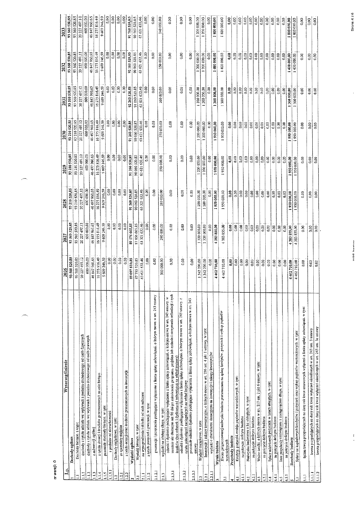|                                 | Wyszczególnienie                                                                                                                                                                  | 2026          | $\overline{202}$ | 2028            | 2029          | 2030          | 2031          | 2032          | 2033              |
|---------------------------------|-----------------------------------------------------------------------------------------------------------------------------------------------------------------------------------|---------------|------------------|-----------------|---------------|---------------|---------------|---------------|-------------------|
|                                 | Dochody ogółem<br>립                                                                                                                                                               | 93 560 520,85 | 93 560 520,85    | 93 210 520,85   | 93 210 520 85 | 93 210 520,85 | 93 560 520,85 | 93560520,85   | 93 560 520 85     |
|                                 | Dochody biczące. z tego:                                                                                                                                                          | 93 560 520,85 | 93 560 520.85    | 93 210 520,85   | 93 210 520 85 | 93 210 520 8  | 93 560 520.85 | 93 560 520.85 | 93 560 520 85     |
| Ξ                               | dochody z tytułu udziału we wpływach z podatku dochodowego od osób fizycznych                                                                                                     | 20 227 497.12 | 20 227 497,12    | 20 227 497,12   | 20 227 497.12 | 20 227 497.12 | 20 227 497.12 | 20227497.12   | 20 227 497.10     |
| 1.12                            | dochody z tytułu udziału we wpływach z podatku dochodowego od osób prawnych                                                                                                       | 600 000.00    | 600 000,00       | 600 000,00      | 600 000.00    | 600 000.00    | 600 000,00    | 600 000.00    | 600 000.00        |
|                                 | z subwencji ogólnej                                                                                                                                                               | 46847960.65   | 46847960.65      | 46497960.65     | 46 497 960 65 | 46 497 960,65 | 46 847 960,65 | 46 847 960,65 | 46847960.65       |
| $\frac{3}{2}$                   | z tytułu dotacji i środków przeznaczonych na cele bieżące                                                                                                                         | 16275816.49   | 16275816.49      | 6275816,49      | 16275816.49   | 16275816.49   | 16275816,49   | 16275816.49   | 1627581649        |
| 1.14                            | pozostałe dochody bieżące. w tym:                                                                                                                                                 | 9 609 246.59  | 9 609 246.59     | 9 609 246,59    | 9 609 246.59  | 9 609 246,59  | 9 609 246.59  | 9609246.59    | 9 609 246 59      |
| $\frac{1}{2}$                   | z podatku od nieruchomosci                                                                                                                                                        | 0.00          | 0.00             | 0.00            | 0.00          | $0.00\,$      | 0.00          | 0.00          | 0.00              |
| 3                               |                                                                                                                                                                                   | 0.00          | 0.00             | 0.00            | 0.00          | 0.00          | 0.00          | 0.00          | 0.0C              |
| $\mathbf{r}$                    | Dochody majatkowe, w tym.                                                                                                                                                         | 0.00          | 0.00             | 0.00            | $0.00$        | $\boxed{60}$  | 0.00          | 0.00          | 0.00              |
| $\overline{121}$                | z tytułu dotacji oraz środków przeznaczonych na inwestycje<br>ze sprzedaży majątku                                                                                                | 0.00          | 68               | $\frac{60}{30}$ | $\frac{8}{9}$ | 0.00          | $\frac{8}{9}$ | $\frac{8}{2}$ | 0.00              |
| 1.2.2                           |                                                                                                                                                                                   | 89 097 810,85 | 89 176 665,85    | 91 260 520,85   | 91 260 520,85 | 91 260 520,85 | 92 260 520,85 | 92 160 520,85 | 9176952085        |
|                                 | Wydatki ogółem                                                                                                                                                                    | 87 755 520.85 | 87 856 665,85    | 90 060 520,85   | 90 060 520,85 | 90 060 520 85 | 91 060 520.85 | 90 960 520.85 | 90 560 520 85     |
|                                 | na wynagrodzenia i składki od nich naliczane<br>Wydalki bieżące, w tynu                                                                                                           | 63 621 632.46 | 63 321 632.46    | 63 321 632,46   | 63 621 632,46 | 63 621 632.46 | 63 621 632.46 | 63 621 632,46 | 63 621 632 46     |
| $\frac{1}{2}$                   | z tytułu poręczeń i gwarancji, w tym:                                                                                                                                             | $\frac{8}{9}$ | 600              | $_{0.00}^\circ$ | 0.00          | $\frac{8}{5}$ | 0.0           | 0.00          | 0.00              |
| 2.1.2.1<br>2.1.2                | gwarancje i poręczenia podłegające wyłączeniu z limiu spłały zobowiązań, o którym mowa w art. 243 ustawy                                                                          | 0.00          | 0,00             | 0.00            | $\frac{3}{2}$ | 0.00          | 0.00          | 0.00          | 0.00              |
|                                 |                                                                                                                                                                                   | 300 000,00    | 290 000.00       | 280 000.00      | 270000.00     | 270 000,00    | 260 000.00    | 250 000.00    | 240 000,00        |
| 2.1.3                           | odselki i dyskonto podlegające wyłączeniu z limitu spłaty zołowiązań, o którym mowa w art. 243 ustawy. w<br>wydatki na obsługę długu, w tym:                                      |               |                  |                 |               |               |               |               |                   |
| 21.3.1                          | termínie nie dłuższym niż 90 dni po zakończeniu programu. projektu lub zadania i otrzymaniu refundacji z tych<br>środków: (bez odselek i dyskonta od zobowiązań na wkład krajowy) | 0.00          | 0.00             | 0.00            | 0.00          | 0.00          | 0.00          | 0.00          | 0.00              |
| 21.3.2                          | odsetki i dyskonto podlegające wyłączeniu z limitu splaty zobowiązań, o którym mowa w art. 243 ustawy. z<br>tytułu zobowiązań zaciągniętych na wkład krajowy<br>$\cdot$           | 0.00          | 0.00             | 0.00            | 0.00          | 0.00          | 0.00          | 0.00          | 0.00              |
| 2.1.3.3                         | pozostałe odselki i dyskonto podlegające wyłączeniu z limitu splaty zołoowiązań, o którym mowa w art. 243                                                                         | 0.00          | 8g               | 0.00            | 0.00          | 0.00          | $\frac{8}{5}$ | 6.00          | 0.00              |
| $\frac{2}{3}$                   | Wydaiki majątkowe, w tym:<br>ustawy                                                                                                                                               | 1342290.00    | 320 000,00       | 200 000.00      | 1200 000.00   | 1 200 000.00  | 200 000.00    | 1 200 000.00  | 1 200 000,00      |
| 2.21                            | Inwestycje i zakupy inwestycyjne, o których mowa w art. 236 ust. 4 pkt 1 ustawy. w tym:                                                                                           | 1342290.00    | 320 000.00       | 1 200 000.00    | 1200000.00    | 1 200 000,00  | 200 000.00    | 200 000.00    | 200 000.00        |
| $\frac{21}{2}$                  | wydatki o charakterze dotacyjnym na inwestycje i zakupy inwestycyjne                                                                                                              | 0.00          | 630              | 8,00            | 0.00          | 0.00          | 0.00          | 0.00          | 0.00              |
|                                 | Wynik budżetu                                                                                                                                                                     | 4462710,00    | 4383855.00       | 1950000,00      | 1950000,00    | 1950 000,00   | 1300 000,00   | 1400 000,00   | 1800 000,00       |
| 3                               | Kwota prognozowanej nadwyzki hudzetu przeznaczana na spłatę kredytów, pożyczak i wykup papierów                                                                                   | 4462710.00    | 855.00<br>383    | 1950 000.00     | 950 000.00    | 1950000.00    | 1 300 000.00  | 1400000.00    | 180000001         |
|                                 | Przychody budżetu<br>wartościowych                                                                                                                                                | 9,00          | 8,00             | $\frac{8}{5}$   | 3,00          | g.o           | 0,00          | e,o           | 0.00              |
| ¢                               | Krodyty, pożyczki, emisja papierów wartosciowych, w tym:                                                                                                                          | 0.00          | 80               | 0.00            | 6.00          | 0.00          | 0.00          | $\frac{8}{9}$ | 0.00              |
| $\frac{11}{2}$<br>$\frac{1}{4}$ | na pokrycie deficytu budżetu                                                                                                                                                      | 0.00          | 0.00             | 0.00            | 0.00          | 0.00          | 8,00          | 0.00          | 0.00              |
| 4.2                             | Nadwyżka budżetowa z lat ubiegłych. w tym:                                                                                                                                        | 0.00          | 0.00             | 8,00            | 0.00          | $\frac{3}{2}$ | 0.00          | 0.00          | 0.00              |
| 4.2.1                           | na pokrycie defrcytu budżetu                                                                                                                                                      | 0.00          | 0.00             | 3,00            | 0.00          | g<br> 3       | 600           | 0.00          | 0.00              |
| $\frac{1}{4}$                   | Wolne środki, o których mown w art. 217 ust, 2 pkt 6 ostawy, w tym:                                                                                                               | 0.00          | 0.00             | 600             | 0.00          | 0,00          | 6.00          | $\frac{8}{9}$ | 0.00              |
| $\frac{1}{4}$                   | na pokrycie deficytu budżetu                                                                                                                                                      | 0.00          | 0.00             | 0.00            | 0.00          | 0.00          | 0.00          | 80            | $\overline{0.00}$ |
| $\frac{4}{4}$                   | Splaty adziełonych pożyczek w latach ubiegłych, w tym:                                                                                                                            | 0.00          | 0.00             | 6,00            | $\frac{3}{5}$ | 0.00          | 0,00          | 0.00          | 0.00              |
| $\frac{1}{4}$                   | na pokrycie deficytu budżetu                                                                                                                                                      | $\frac{3}{2}$ | 0.00             | 0.00            | $\mathbb{S}$  | 0.00          | 0.00          | 600           | 0.00              |
| 4.5                             | Inne przychody niezwiązane z zaciągnięciem długu, w tym:                                                                                                                          | 0.00          | 0.00             | 0.00            | 8.ao          | $\frac{1}{3}$ | $\frac{8}{5}$ | 0.00          | 0.00              |
| $\frac{45}{3}$                  | na pokrycie deficytu budżetu                                                                                                                                                      | 0.00          | 0.00             | es<br>0.00      | ទី            | $\frac{8}{2}$ | 500           | 0.00          | 0.00              |
| 47                              | Rozchody budżetu                                                                                                                                                                  | 4462710,00    | 4383855,00       | 950 000,00      | 950 000,00    | 950 000,00    | 300 000,00    | 1400 000,00   | 1800000,00        |
| ភ                               | Spłaty rat kapitałowych kredytów i pożyczek oraz wykup papierów wartosciowych, w tym:                                                                                             | 4462710,00    | 4 383 855,00     | 950 000.00      | 950000.00     | 950 000.00    | 300 000.00    | 1400000,00    | 1800000.00        |
| $\Xi$                           | łączna kwota przypadających na dany rok kwot ustawowych wyłączeń z fimitu spłaty zolowiązań. w tym:                                                                               | 500           | $\frac{8}{9}$    | 0.00            | 0.00          | 0.00          | S.            | 0.00          | 0.00              |
| $\frac{1}{2}$                   | kwota przypadających na dany rok kwot wyłączeń określonych w art. 243 ust. 3 ustawy                                                                                               | 83            | 0.00             | 0.00            | 630           | 0.00          | 0.00          | 0.00          | 0.00              |
| 5.1.1.2                         | kwota przypadających na dany rok kwot wyłączeń określonych w art. 243 ust. 3a ustawy                                                                                              | 0.00          | 8.00             | 800             | 600           | 500           | 0.00          | 0.00          | 0.00              |
|                                 |                                                                                                                                                                                   |               |                  |                 |               |               |               |               |                   |

nr wersji: 0

J.

يستر

**WDE hazmin** 

 $\frac{1}{\epsilon}$ 

Strona  $4 z 6$ 

 $\ddot{\phantom{0}}$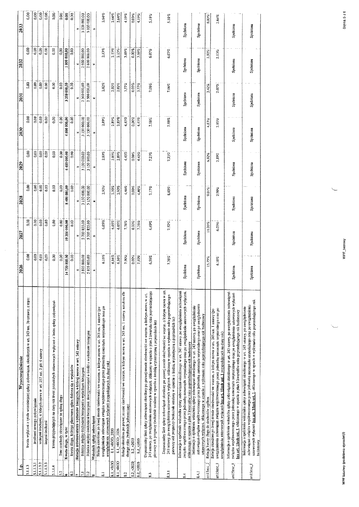| 1800 000,00<br>×<br>0.00<br>80<br>3,00<br>0.00<br>0.00<br>3 200 000,00<br>ទី<br>×<br>8,00<br>0.00<br>0.00<br>0.00<br>4500 000,00<br>0.00<br>0.00<br>×<br>0.00<br>0,00<br>0,00<br>0,00<br>8,00<br>6450000,00<br>0,00<br>×<br>8,00<br>0.00<br>0.00<br>0.00<br>3<br>8400000,00<br>0.00<br>×<br>0.00<br>0.00<br>0.00<br>$\frac{8}{2}$<br>10350000,00<br>0.00<br>0.00<br>× | 2 500 000,00<br>2 500 000,00<br>3150000.00<br>3150000,00<br>3150000.00<br>5703855.00 | 2 500 000,00<br>2 500 000,00<br>3150000.00<br>3150000,00<br>3 150 000,00                                                                                                                                    | ×<br>2,02%<br>2.89%<br>×<br>2.89%<br>$\approx$<br>2,90%<br>×<br>6,05%                                                                                                                                                                                                                                         |                                                                                             | 2.02%<br>2.89%<br>2.894<br>2.90% | 2.02%<br>2,89%<br>2.89%<br>2.90% | 1,57%<br>4,45%<br>4,45%<br>4,46%                                                                                                                      | 0.00%<br>0.00%<br>0.00%<br>0,00% | 3.57%<br>4,45%<br>4.45%<br>4.46% | 7,06%<br>198%<br>7.23%<br>7,1752                                                                                                                                                                                                                                                                                              | 7.06%<br>7.98%<br>7.23%<br>$8.00\%$                                                                                                                                                                                                                                                                                    | Spelniona<br>Speloiona<br>Spelniona<br>Spehiona<br>Spehiona                                                                                                                                                                   | Spelniona<br>Spelniona<br>Spetniona<br>Spelniona<br>Spelniona                                                                                                                                                                                                                           | 1,92%<br>$3.42\%$<br>4,83%<br>6.92%<br>9,01%                                                                                        | 2,13%<br>$2.02\%$<br>2.89%<br>2,89%<br>2,90%                                                                                                                                                                                   | Spetniona<br>Spelniona<br>Speiniona<br>Spehiona<br>Spehiona                                                                                                                                                                                                                                                                                                                                                                                                                                                                     |
|-----------------------------------------------------------------------------------------------------------------------------------------------------------------------------------------------------------------------------------------------------------------------------------------------------------------------------------------------------------------------|--------------------------------------------------------------------------------------|-------------------------------------------------------------------------------------------------------------------------------------------------------------------------------------------------------------|---------------------------------------------------------------------------------------------------------------------------------------------------------------------------------------------------------------------------------------------------------------------------------------------------------------|---------------------------------------------------------------------------------------------|----------------------------------|----------------------------------|-------------------------------------------------------------------------------------------------------------------------------------------------------|----------------------------------|----------------------------------|-------------------------------------------------------------------------------------------------------------------------------------------------------------------------------------------------------------------------------------------------------------------------------------------------------------------------------|------------------------------------------------------------------------------------------------------------------------------------------------------------------------------------------------------------------------------------------------------------------------------------------------------------------------|-------------------------------------------------------------------------------------------------------------------------------------------------------------------------------------------------------------------------------|-----------------------------------------------------------------------------------------------------------------------------------------------------------------------------------------------------------------------------------------------------------------------------------------|-------------------------------------------------------------------------------------------------------------------------------------|--------------------------------------------------------------------------------------------------------------------------------------------------------------------------------------------------------------------------------|---------------------------------------------------------------------------------------------------------------------------------------------------------------------------------------------------------------------------------------------------------------------------------------------------------------------------------------------------------------------------------------------------------------------------------------------------------------------------------------------------------------------------------|
|                                                                                                                                                                                                                                                                                                                                                                       |                                                                                      |                                                                                                                                                                                                             |                                                                                                                                                                                                                                                                                                               |                                                                                             |                                  |                                  |                                                                                                                                                       |                                  |                                  |                                                                                                                                                                                                                                                                                                                               |                                                                                                                                                                                                                                                                                                                        |                                                                                                                                                                                                                               |                                                                                                                                                                                                                                                                                         |                                                                                                                                     |                                                                                                                                                                                                                                |                                                                                                                                                                                                                                                                                                                                                                                                                                                                                                                                 |
|                                                                                                                                                                                                                                                                                                                                                                       |                                                                                      |                                                                                                                                                                                                             |                                                                                                                                                                                                                                                                                                               |                                                                                             |                                  |                                  |                                                                                                                                                       |                                  |                                  |                                                                                                                                                                                                                                                                                                                               |                                                                                                                                                                                                                                                                                                                        |                                                                                                                                                                                                                               |                                                                                                                                                                                                                                                                                         |                                                                                                                                     |                                                                                                                                                                                                                                |                                                                                                                                                                                                                                                                                                                                                                                                                                                                                                                                 |
|                                                                                                                                                                                                                                                                                                                                                                       |                                                                                      |                                                                                                                                                                                                             |                                                                                                                                                                                                                                                                                                               |                                                                                             |                                  |                                  |                                                                                                                                                       |                                  |                                  |                                                                                                                                                                                                                                                                                                                               |                                                                                                                                                                                                                                                                                                                        |                                                                                                                                                                                                                               |                                                                                                                                                                                                                                                                                         |                                                                                                                                     |                                                                                                                                                                                                                                |                                                                                                                                                                                                                                                                                                                                                                                                                                                                                                                                 |
|                                                                                                                                                                                                                                                                                                                                                                       |                                                                                      |                                                                                                                                                                                                             |                                                                                                                                                                                                                                                                                                               |                                                                                             |                                  |                                  |                                                                                                                                                       |                                  |                                  |                                                                                                                                                                                                                                                                                                                               |                                                                                                                                                                                                                                                                                                                        |                                                                                                                                                                                                                               |                                                                                                                                                                                                                                                                                         |                                                                                                                                     |                                                                                                                                                                                                                                |                                                                                                                                                                                                                                                                                                                                                                                                                                                                                                                                 |
| 0.00                                                                                                                                                                                                                                                                                                                                                                  |                                                                                      |                                                                                                                                                                                                             | $\mathbf{R}$                                                                                                                                                                                                                                                                                                  |                                                                                             |                                  | 6.05%                            | 5703855,00<br>6.05%<br>7,76%                                                                                                                          | 0.00%                            | 7.76%                            | 6.69%                                                                                                                                                                                                                                                                                                                         | $7.52\%$                                                                                                                                                                                                                                                                                                               | Spehiona                                                                                                                                                                                                                      | Spehiona                                                                                                                                                                                                                                                                                | 11.06%                                                                                                                              | 6.05%                                                                                                                                                                                                                          | Speiniona                                                                                                                                                                                                                                                                                                                                                                                                                                                                                                                       |
| 14733855,00<br>0.00<br>×                                                                                                                                                                                                                                                                                                                                              | 5805000.00                                                                           | 5805000,00                                                                                                                                                                                                  | 6.16%                                                                                                                                                                                                                                                                                                         |                                                                                             | 6.16%                            | 6.16%                            | 7.90%                                                                                                                                                 | 0.00%                            | 7.90%                            | 6.56%                                                                                                                                                                                                                                                                                                                         | 7,39%                                                                                                                                                                                                                                                                                                                  | Speiniona                                                                                                                                                                                                                     | Spektiona                                                                                                                                                                                                                                                                               | 15,75%                                                                                                                              | 6.16%                                                                                                                                                                                                                          | Spetriona                                                                                                                                                                                                                                                                                                                                                                                                                                                                                                                       |
|                                                                                                                                                                                                                                                                                                                                                                       |                                                                                      | Różnica między dochodami bieżącymi, skorygowanymi o środki a wydatkami bieżącymi<br>kwota dhegu, którego planowana spłata dokona się z wydatków<br>Różnica między dochodami bieżącymi a wydatkami bieżącymi | uwzględnianiu zobowiązań związku współtworzonego przez jednostkę samorządu terytorialnego oraz po<br>Relacja określona po lewej stronie nierówności we wzorze, o którym mowa w art. 243 ust. i ustawy (po<br>Relacja zrównoważenia wydatków bieżących, o której mowa w art. 242 ustawy<br>Kwota dhigu, w tym: | uwzględnieniu ustawowych wyłączeń przypadających na dany rok)<br>Wskaźnik spłaty zobowiązań | 8.1 vROD 2020<br>8.1 vRCD        | 8.1_vROD_2026<br>8.1 vROD        | Relacja określona po prawej stronie nierówności we wzorze, o którym mowa w art. 243 ust. 1 ustawy, ustalona dla<br>danego roku (wskaźnik jednoroczny) | 8.2 v2020<br>8.2_v2020           | 8.2 v2026<br>8.2_v2026           | 243 ustawy, po uwzględnieniu ustawowych wyłączeń, obliczony w oparciu o płan 3 kwartalu roku poprzedzającego<br>Dopuszczałny limit spłaty zobowiązań okreśtony po prawej stronie nierówności we wzorze, o którym mowa w art.<br>pierwszy rok prognozy (wskażnik ustalosty w oparciu o średnią arytmetyczną z poprzednich łat) | Dopuszczalny limis spłaty zobowiązań określony po prawej stronie nierówności we wzorze. o którym mowa w art.<br>243 ustawy, po uwzględnieniu ustawowych wyłączeń. obliczony w oparciu o wykonanie roku poprzedzającego<br>pierwszy rok prognozy (wskaźnik ustałony w oparciu o średnią arytmetyczną z poprzednich lat) | Informacja o spełnieniu wskaźnika spłaty zobowiązań określonego w art. 243 ustawy. po uwzględnieniu zobowiązań<br>związku współtworzenego przez jednostkę samorządu terytorialnego oraz po uwzględnienia ustawowych wyłączeń. | zobowiązań związku współtworzonego przez jednostkę samorządu terytorialnego oraz po uwzględnieniu<br>Informacja o spełnieniu wskażnika spłaty zobowiązań określonego w art. 243 ustawy, po uwzględnieniu<br>obliczonego w oparciu o plan 3 kwartałów roku poprzedzającego rok budżetowy | ustawowych wyłączeń, obliczonego w oparciu o wykonanie roku poprzedzającego rok budżetowy<br>Relacja kwoty długu do dochodów ogółem | od zrac ošanjeniu sopomijasti za izdziva Mangarija ostač bio se jednostke samorzadu terikoriajnego oraz bo<br>Relacja określona po izwej stronie nierówności we wzorze, o którym mowa w art. 243 ust. 1 ustawy (po<br>art15zoc | lnformacja o spełnieniu wskaźnika spłaty zobowiązań określonego w art. 243 ustawy, po uwzględnieniu zobowiązań<br>związku współtworzonego przez jednostkę samorządu terytorialnego oraz po uwzględnieniu ustawowych wyłączeń<br>húomacja o spełnieniu wskaźnika spłaty zobowiązań określonego w art. 243 ustawy, po uwzględnieniu<br>bez art. 1520b 1131. I. obliczonego w oparciu o plan 3 kwartałów roku poprzedzającego rok budżetowy<br>uwzejędnieniu astawowych wyjączeń bez art. 15zob ust. 1 przypadających na dany rok) |
|                                                                                                                                                                                                                                                                                                                                                                       |                                                                                      |                                                                                                                                                                                                             |                                                                                                                                                                                                                                                                                                               |                                                                                             |                                  |                                  |                                                                                                                                                       |                                  |                                  |                                                                                                                                                                                                                                                                                                                               |                                                                                                                                                                                                                                                                                                                        |                                                                                                                                                                                                                               |                                                                                                                                                                                                                                                                                         |                                                                                                                                     |                                                                                                                                                                                                                                |                                                                                                                                                                                                                                                                                                                                                                                                                                                                                                                                 |
|                                                                                                                                                                                                                                                                                                                                                                       |                                                                                      |                                                                                                                                                                                                             |                                                                                                                                                                                                                                                                                                               |                                                                                             |                                  |                                  |                                                                                                                                                       |                                  |                                  |                                                                                                                                                                                                                                                                                                                               |                                                                                                                                                                                                                                                                                                                        |                                                                                                                                                                                                                               |                                                                                                                                                                                                                                                                                         |                                                                                                                                     |                                                                                                                                                                                                                                |                                                                                                                                                                                                                                                                                                                                                                                                                                                                                                                                 |

WPF bazowy (podstawa symulacji)

WPF\_bazowy

l,

Sipna 5 z 6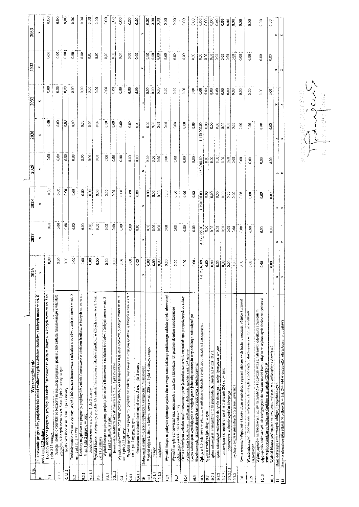| 링               | Wyszczególnienie                                                                                                                                                                                                                                                                     | 2026            | 2027            | 2023              | 2029              | 2030          | 203              | 2032             | 2033              |
|-----------------|--------------------------------------------------------------------------------------------------------------------------------------------------------------------------------------------------------------------------------------------------------------------------------------|-----------------|-----------------|-------------------|-------------------|---------------|------------------|------------------|-------------------|
| ۰               | Finansowanie programów, projektów lub zadań realizowanych z udziałem środków, o których mowa w art. 5<br>ust. 1 pkt 213 ustawy                                                                                                                                                       | ×               |                 | ×                 | ×                 | ×             | ×                | $\sim$           | $\mathbf{r}$      |
| $\overline{5}$  | Dochody bieżące na programy, projekty lub zadania finansowane z udziałem środków, o których mowa w art. 5 ust.<br>1 pkt 2 i 3 ustawy                                                                                                                                                 | 0,00            | 0.00            | 0.00              | 0.00              | 0.00          | 0.00             | 0.00             | 0.00              |
| $\frac{1}{2}$   | Dotacje i środki o charakterze bieżącym na realizację programu, projektu lub zadania finansowanego z udziałem<br>srodków, o których mowa w art. 5 ust. 1 pkt 2 ustawy, w tym:                                                                                                        | 0.00            | 0.00            | 0.00              | 0.00              | 0,00          | 0.00             | 0.00             | $\frac{8}{9}$     |
| 9.1.L           | środki określone w art. 5 ust. 1 pkt 2 ustawy                                                                                                                                                                                                                                        | 0.00            | 0.00            | 0.00              | 0.00              | 0.00          | 0,00             | $0.00\,$         | 0.00              |
| ુ               | Dochody majątkowe na programy, projekty lub zadania finansowane z udziałem środków, o których mowa w art. 5<br>ust. 1 pkt 2 i 3 ustawy                                                                                                                                               | 0.00            | 0.00            | 0.00              | 0.00              | 0.00          | 0.00             | 0.00             | 0.00              |
| 9.2.1           | Dochody majqikowe na programy, projekty lub zadania finansowane z udzialem środków. o których mowa w art.<br>5 ust. 1 pkt 2 ustawy, w tym:                                                                                                                                           | 0.00            | 0.00            | 0,00              | 0.00              | 0.00          | 0.00             | 0.00             | 0.00              |
| 9.21.1          | środki określone w art. 5 ust. 1 pkt 2 ustawy                                                                                                                                                                                                                                        | 0.00            | 0.00            | 0.00              | $\frac{8}{6}$     | 0.00          | 0.00             | 0.00             | 0.00              |
| $\frac{2}{9}$   | Wydatki bieżące na programy, projekty łub zadania finansowane z udziałem środków, o których mowa w art. 5 ust. 1<br>pkt 2 i 3 ustawy                                                                                                                                                 | 0.00            | $0.00\,$        | 0.00              | 0.00              | 0.00          | 0.00             | 0.00             | 0.00              |
| $\frac{1}{2}$   | Wydatki bieżące na programy, projekty lub zadania funansowane z udziałem środków, o których mowa w art. 5<br>ust. I pkt 2 ustawy, w tym:                                                                                                                                             | 0.00            | 0.00            | 0,00              | 0.00              | 0.00          | 0,00             | 0,00             | 0.00              |
| 9.1.1           | finansoware środkami określonymi w art. 5 ust. 1 pkt 2 ustawy                                                                                                                                                                                                                        | 0.00            | $0.00$          | $\overline{0.00}$ | 0.00              | 0.00          | 0.00             | $rac{10}{2}$     | 0.00              |
| 9.4             | Wydaiki majątkowe na programy, projekty lub zadania finansowane z udziałem środków, o których mowa w art. 5<br>ust. 1 pkt 2 i 3 ustawy                                                                                                                                               | 0.00            | 0.00            | $0.00\,$          | 0.00              | 0.00          | 0.00             | 0.00             | 0.00              |
| 9.4.1           | Wydatki majątkowe na programy, projekty lub zadania finansowane z udziałem środków, o których mowa w art. S<br>ust, I pkt 2 ustawy. w tym:                                                                                                                                           | 0.00            | 0.00            | 0.00              | 0.00              | 0.00          | 0.00             | 0.00             | 0.00              |
| 9.4.1.          | Inansowane srodkami okreslonymi w art. 5 usi. 1 pki 2 ustawy                                                                                                                                                                                                                         | 0.00            | $0.00$          | 0.00              | 0.00              | $0.00\,$      | 0.00             | 0.00             | 0.00              |
| $\Xi$           | Informacje uzupełniające o wybranych kategoriach finansowych                                                                                                                                                                                                                         | ×               |                 | $\star$           | ×                 | ×             | ×                | ×                | ×                 |
| $\overline{a}$  | Wydatki objęte limiem, o którym mowa w art. 226 ust. 3 pkt 4 ustawy, z tego:                                                                                                                                                                                                         | 0.00            | 0.00            | 0.00              | 0.00              | 0.00          | 0.00             | 0.00             | 0.00              |
| 10.1.1          | biczące                                                                                                                                                                                                                                                                              | 0.00            | 0.00            | $\vert$ 3         | $\frac{8}{100}$   | $\frac{8}{3}$ | 0.00             | 0.00             | $\overline{0.00}$ |
| 10.1.2          | majątkowe                                                                                                                                                                                                                                                                            | 0.00            | $\frac{8}{9}$   | 0,00              | 0.00              | $\frac{8}{9}$ | 0.00             | $ \mathbf{S} $   | 0.00              |
| 10.2            | Wydaiki bieżące na pokrycie ujemnego wyniku finansowego sannodzielnego publicznego zakładu opieki zdrowotnej                                                                                                                                                                         | 0.00            | 0.00            | 0,00              | 0.00              | $\frac{8}{9}$ | 0.00             | 0.00             | 0.00              |
| $\ddot{0}$      | Wydatki na spłatę zołowiązań przejmowanych w związku z likwidacją lub przekształceniem samodzielnego<br>publicznego zakładu opieki zdrowotnej                                                                                                                                        | 0.00            | 0.00            | $_{\odot}$ 8      | $0.00\,$          | 0.00          | 0.00             | 0.00             | 0.00              |
| 10.4            | Kwota zobowiązań związku współtworzonego przez jednostkę samorządu terytoriałnego przypadających do spiaty<br>w danym roku budżetowym, podlegająca doliczeniu zgodnie z art. 244 ustawy                                                                                              | 0.00            | 0.00            | $0.00\,$          | 0.00              | 0.00          | 0.00             | 0.00             | 0.00              |
| 10.5            | Kwota zobowiązań wynikających z przejęcia przez jednostkę samorządu terytorialnego zobowiązań po<br>ilkwidowanych i przekształcanych samorządowych osobach prawnych                                                                                                                  | 0.00            | 0.00            | 0.00              | 0.00              | $\frac{8}{9}$ | 0.00             | 0.00             | 0.00              |
| 10.6            | Splaty, o których mowa w pkt. 5.1 wynikające wyłączaśc z tytułu zobowiązań już zaciągniętych                                                                                                                                                                                         | 412710.00       | 233 855.00<br>4 | 000.00<br>150     | 000,00<br>1150    | 1150 000,00   | 0.00             | $0.00$           | 0.00              |
| $\overline{5}$  | Wydatki znańejszające dług, w tym:                                                                                                                                                                                                                                                   | 0.00            | $\frac{8}{10}$  | 0.00              | 0.00              | 0.00          | 0.00             | 0.00             | 0.00              |
| $\overline{10}$ | spłata zobowiązań wymagalnych z lat poprzednich, innych niż w plst 10.7.3.                                                                                                                                                                                                           | $\frac{1}{100}$ | $\frac{8}{3}$   | 0.00              | $\frac{8}{10}$    | 0.00          | 0.00             | $\frac{8}{5}$    | 0.00              |
| 10.7.2          | spłata zobowiązań zaliczanych do tytułu dłużnego -- kredyt i pożyczka. w tym:                                                                                                                                                                                                        | 0.00            |                 |                   | 0.00              | $\frac{6}{3}$ | 0.00             |                  | 0.00              |
| 10,7.2.1        | zobowiązań zaciągniętych po dniu 1 stycznia 2019 r. w tym:                                                                                                                                                                                                                           | 0.00            | 0.00            | $\frac{888}{56}$  | 0.00              | $\frac{8}{5}$ | $\frac{1}{0.00}$ | $0.00\,$         | 0.00              |
| 10.7.2.1.1      | dokonywana w formie wydatku bieżącego                                                                                                                                                                                                                                                | $0.00$          | $\frac{8}{3}$   |                   | $\overline{0.00}$ | 0.00          | 0.00             | $\frac{8}{0.00}$ | 0.00              |
| 10.7.3          | wypłaty z tytułu wymagalnych poręczeń i gwarancji                                                                                                                                                                                                                                    | 0.00            |                 | 0.00              | 0.00              | 0.00          | 0.00             |                  | 0.00              |
| 10.8            | Kwota wzrostu(+)/spadku(-) kwoty długu wynikająca z operacji niekasowych (m.in. umorzenia. różnice kursowe)                                                                                                                                                                          | 0.00            | 0.00            | 0,00              | 0.00              | 0.00          | 0.00             | 0.00             | 0.00              |
| 10.9            | Wcześniejsza spłata zobowiązań, wyłączona z limitu spłaty zobowiązań, dokonywana w formie wydatków<br>budżetowycł                                                                                                                                                                    | 0.00            | 0.00            | 0.00              | 0.00              | 6.00          | 0.00             | 0.00             | 0.00              |
| 10.10           | odpowiednio emitowanych lub zaciągniętych do równowartości kwoty ubytku w wykonanych dochodach jednostki<br>Wykup papierów wartościowych. spłaty rat kredytów i pożyczek wraz z należnymi odsetkami i dyskontem.<br>samorządu terytorialnego będąccego skutkiem wystąpienia COVID-19 | 0.00            | 0.00            | 0.00              | 0.00              | 0.00          | 0.00             | 0.00             | 0.00              |
| $\bar{a}$       | Wydatki bicżące podlegające ustawowemu wyłączeniu z limitu spłaty zobowiązań                                                                                                                                                                                                         | 0.00            | 0.00            | 0.00              | 0,00              | 0.00          | 0.00             | 0.00             | 0.00              |
| Ξ               | Dane dotyczące emitowanych obligacji przychodowych                                                                                                                                                                                                                                   |                 | ×               |                   | ×.                |               |                  | ×1               | ×1                |
| $\mathbb{R}$    | Stopnie niezachowania relacji określonych w art. 242-244 w przypadku określonym w  ustawy                                                                                                                                                                                            |                 |                 |                   |                   |               | ≥i ≥i            |                  |                   |

Allen Company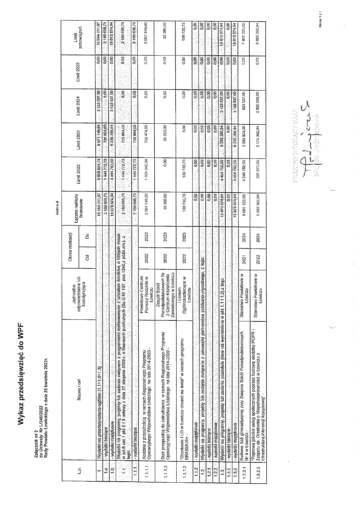## Wykaz przedsięwzięć do WPF

### Załącznik nr 2<br>do Uchwały Nr L/346/2022<br>Rady Powiatu Łowickiego z dnia 25 kwietnia 2022r.

|               |                                                                                                                                                                                                                                                      | Jednostka                                                                                       |      | Okres realizacji | Łączne nakłady |                   |              |                   |                   | Limit         |
|---------------|------------------------------------------------------------------------------------------------------------------------------------------------------------------------------------------------------------------------------------------------------|-------------------------------------------------------------------------------------------------|------|------------------|----------------|-------------------|--------------|-------------------|-------------------|---------------|
| خيا           | Nazwa i cel                                                                                                                                                                                                                                          | odpowiedzialna lub<br>koordynująca                                                              | g    | å                | inansowe       | <b>Limit 2022</b> | Limit 2023   | <b>Limit 2024</b> | <b>Limit 2025</b> | zobowiązań    |
|               | Wydatki na przedsięwzięcia-ogólem (1.1+1.2+1.3)                                                                                                                                                                                                      |                                                                                                 |      |                  | 16154211,57    | 21729 888         | 6971 149,94  | 3 123 537.00      | 88                | 15 394 211 61 |
| ta .          | wydatki bieżące                                                                                                                                                                                                                                      |                                                                                                 |      |                  | 2180 636,73    | 1,444,772,73      | 735 864,00   | 300               | 0.D               | 21005007      |
| a<br>!        | wydatki majątkowe                                                                                                                                                                                                                                    |                                                                                                 |      |                  | 13973574,94    | 445476200         | 6 235 285,94 | 3.123537,00       | 0.00              | 13013074,94   |
| نې<br>س       | Wydatki na programy, projekty lub zadania zwłązane z programami realizowanymi z udziałem środków, o których mowa<br>w art 5 ust 1 pkt 2 i 3 ustawy z dnia 27 slerpnia 2009 r. o finansach publicznych (Dz U.Nr 167, poz.1240 z późn zm.); z<br>tego: |                                                                                                 |      |                  | 2180636,73     | 14477273          | 735 864,00   | 0.00              | 00 p              | 2100 636.73   |
| $\ddot{1}$    | wydatki bieżące                                                                                                                                                                                                                                      |                                                                                                 |      |                  | 2180838.73     | 144477273         | 735 864,00   | go)               | 8<br>B            | 2180 636.7    |
| 1.1.11        | Operacyjnego Województwa Łódzkiego na lata 2014-2020<br>Rodzina z przyszłością w ramach Regionalnego Programu                                                                                                                                        | Centrum<br>Pomocy Rodzinie w<br>Lowiczu<br>Powiatowe                                            | 2022 | 2023             | 2007516,00     | 130504200         | 702474,00    | 0,00              | 0.00              | 2007516,00    |
| 1.1.1.2       | Staż przepustką do zatrudnienia w ramach Regionalnego Programu<br>Operacyjnego Województwa Łódzkiego na lata 2014-2020 -                                                                                                                             | Ponadpodstawowych Nr<br>Zawodowego w Łowiczu<br>2 Centrum Kształcenia<br><b>Szkół</b><br>Zespój | 2022 | 2023             | 33 390,00      | O.OO              | 33 390,00    | o.oo              | 0,00              | 33 390,00     |
| 1113          | "Uczniowie I LO w Łowiczu otwarci na świat" w ramach programu<br>ERASMUS+                                                                                                                                                                            | Ogółnokształcące w<br><b>ILiceum</b><br>Łowiczu                                                 | 2022 | 2023             | 139730,73      | 13973073          | 0,00         | 0,00              | O.O               | 13973073      |
| 1.2           | wydatki majątkówe                                                                                                                                                                                                                                    |                                                                                                 |      |                  | e.e            | oóo               | 8<br>C       | e.e               | gog.              | ္ခ်ီ          |
| ्             | Wydatki na programy, projekty lub zadania związane z umowami partnerstwa publiczno                                                                                                                                                                   | pryvatnego, z tego.                                                                             |      |                  | 0,00           | 0,00              | g            | 88                | 80.0              | ă             |
| 121           | - wydatki bieżące                                                                                                                                                                                                                                    |                                                                                                 |      |                  | ô,o            | $\frac{3}{2}$     | apo          | 0,03              | $\frac{8}{9}$     | 9             |
| 122.          | - wydatki majątkowe                                                                                                                                                                                                                                  |                                                                                                 |      |                  | 0.00           | $\frac{3}{9}$     | 0,00         | 0,00              | 8 <sub>co</sub>   | \$Q           |
| $\frac{3}{2}$ | Wydatki na programy, projeky lub zadania pozostale (inne niz wymienione w pkt 1.111                                                                                                                                                                  | $2)$ $z$ tego                                                                                   |      |                  | 1367357494     | 445475200         | 6 235 286 94 | 3123 537,00       | $\frac{6}{5}$     | 1381357494    |
| 131.          | - wydatki bieżące                                                                                                                                                                                                                                    |                                                                                                 |      |                  | 38<br>D        | 800               | 8g           | 8.CO              | ទី                | 9<br>O        |
| $\frac{3}{1}$ | - wydatki majątkowe                                                                                                                                                                                                                                  |                                                                                                 |      |                  | 13973574,94    | 4454752.00        | 6 235 285 94 | 3123537,00        | 8,00              | 13813674,94   |
| 13.21         | Budowa Sali ginnastycznej przy Zespołe Szkół Ponadpodstawowych<br>Nr 4 w Łowiczu -                                                                                                                                                                   | Starostwo Powiatowe w<br>ŁOWICZU                                                                | 2021 | 2024             | 8091222,00     | 4 246 782,00      | 3 060 903 00 | 623 537,00        | 0,00              | 7931222,00    |
| 1.3.2.2       | "Poprawa jakości usług społecznych poprzez budowę siedziby PCPR i<br>Zespołu ds. Orzekania o Niepełnosprawności w Łowiczu z<br>infrastruktura interencji kryzysowej" -                                                                               | Starostwo Powiatowe w<br>ŁOWICZU                                                                | 2022 | 2024             | 5 882 352,94   | 207 970,00        | 3174382.94   | 2500 000,00       | 0.00              | 5 882 352,94  |

 $\mathcal{O}^{\mathcal{A}}$ لىلى<br>ئ meerk ∕ ka<br>Ba

Strona 1 z 1

 $\hat{\boldsymbol{\gamma}}$ 

 $\frac{1}{2}$ 

 $\frac{1}{2}$ 

kwoty w zł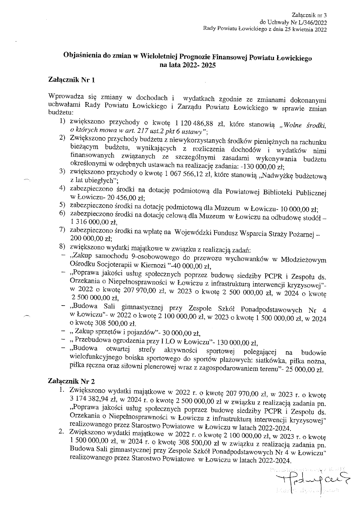### Objaśnienia do zmian w Wieloletniej Prognozie Finansowej Powiatu Łowickiego na lata 2022- 2025

### Załącznik Nr l

 $\ddot{\phantom{0}}$ 

. The contract  $\mathcal{O}(\mathbb{R}^n)$ 

Wprowadza się zmiany w dochodach i wydatkach zgodnie ze zmianami dokonanymi uchwałami Rady Powiatu Łowickiego i Zarządu Powiatu Łowickiego w sprawie zmian budżetu:

- l) zwiększono przychody o kwotę 1 120 486,88 zł, które stanowią "Wolne środki, o których mowa w art. 217 ust.2 pkt 6 ustawy";
- 2) Zwiększono przychody budżetu z niewykorzystanych środków pieniężnych na rachunku bieżącym budżetu, wynikających z rozliczenia dochodów i wydatków nimi finansowanych związanych ze szczególnymi zasadami wykonywania budżetu określonymi w odrębnych ustawach na realizację zadania: -130 000,00 zł;
- 3) zwiększono przychody o kwotę 1 067 566,12 zł, które stanowią "Nadwyżkę budżetową z lat ubiegłych";
- 4) zabezpieczono środki na dotację podmiotową dla Powiatowej Biblioteki Publicznej w Łowiczu- 20 456,00 zł;
- 5) zabezpieczono środki na dotację podmiotową dla Muzeum w Łowiczu- 10 000,00 zł;
- 6) zabezpieczono środki na dotację celową dla Muzeum w Łowiczu na odbudowę stodół l 316 000,00 zł,
- 7) zabezpieczono środki na wpłatę na Wojewódzki Fundusz Wsparcia Straży Pożarnej 200 000,00 zł;
- 8) zwiększono wydatki majątkowe w związku z realizacją zadań:
- "Zakup samochodu 9-osobowowego do przewozu wychowanków w Młodzieżowym Ośrodku Socjoterapii w Kiernozi "-40 000,00 zł,
- "Poprawa jakości usług społecznych poprzez budowę siedziby PCPR i Zespołu ds. Orzekania o Niepełnosprawności w Łowiczu z infrastrukturą interwencji kryzysowej" w 2022 o kwotę 207 970,00 zł, w 2023 o kwotę 2 500 000,00 zł, w 2024 o kwotę 2 500 000,00 zł,
- "Budowa Sali gimnastycznej przy Zespole Szkół Ponadpodstawowych Nr 4 w Łowiczu"- w 2022 o kwotę 2 100 000,00 zł, w 2023 o kwotę l 500 000,00 zł, w 2024 o kwotę 308 500,00 zł.
- "Zakup sprzętów i pojazdów"- 30 000,00 zł,
- " Przebudowa ogrodzenia przy I LO w Łowiczu"- 130 000,00 zł,<br>"Budowa otwartej strefy aktywności sportowaj nalaz
- "Budowa otwartej strefy aktywności sportowej polegającej na budowie wielofunkcyjnego boiska sportowego do sportów plażowych: siatkówka, piłka nożna, piłka ręczna oraz siłowni plenerowej wraz z zagospodarowaniem terenu"- 25 000,00 zł.

### Załącznik Nr 2

- l. Zwiększono wydatki majątkowe w 2022 r. o kwotę 207 970,00 zł, w 2023 r. o kwotę 3 174 382,94 zł, w 2024 r. o kwotę 2 500 000,00 zł w związku z realizacją zadania pn. "Poprawa jakości usług społecznych poprzez budowę siedziby PCPR i Zespołu ds. Orzekania o Niepełnosprawności w Łowiczu z infrastrukturą interwencji kryzysowej" realizowanego przez Starostwo Powiatowe w Łowiczu w latach 2022-2024.
- 2. Zwiększono wydatki majątkowe w 2022 r. o kwotę 2 100 000,00 zł, w 2023 r. o kwotę l 500 000,00 zł, w 2024 r. o kwotę 308 500,00 zł w związku z realizacją zadania pn. Budowa Sali gimnastycznej przy Zespole Szkół Ponadpodstawowych Nr 4 w Łowiczu" realizowanego przez Starostwo Powiatowe w Łowiczu w latach 2022-2024.

 $\label{eq:Ricci} \mathcal{R}^{\mathcal{P}}(\mathcal{L}_\mathcal{A},\mathcal{D}_\mathcal{A})=\sum_{\mathcal{P}}\mathcal{R}^{\mathcal{P}}(\mathcal{P}_\mathcal{A},\mathcal{D}_\mathcal{A})\otimes\mathcal{R}^{\mathcal{P}}(\mathcal{P}_\mathcal{A},\mathcal{D}_\mathcal{A})\otimes\mathcal{R}^{\mathcal{P}}(\mathcal{P}_\mathcal{A},\mathcal{D}_\mathcal{A})\otimes\mathcal{R}^{\mathcal{P}}(\mathcal{P}_\mathcal{A},\mathcal{D}_\mathcal{A})\otimes\mathcal{R$  $\beta$ dupces Mar^k Jędrzej czak